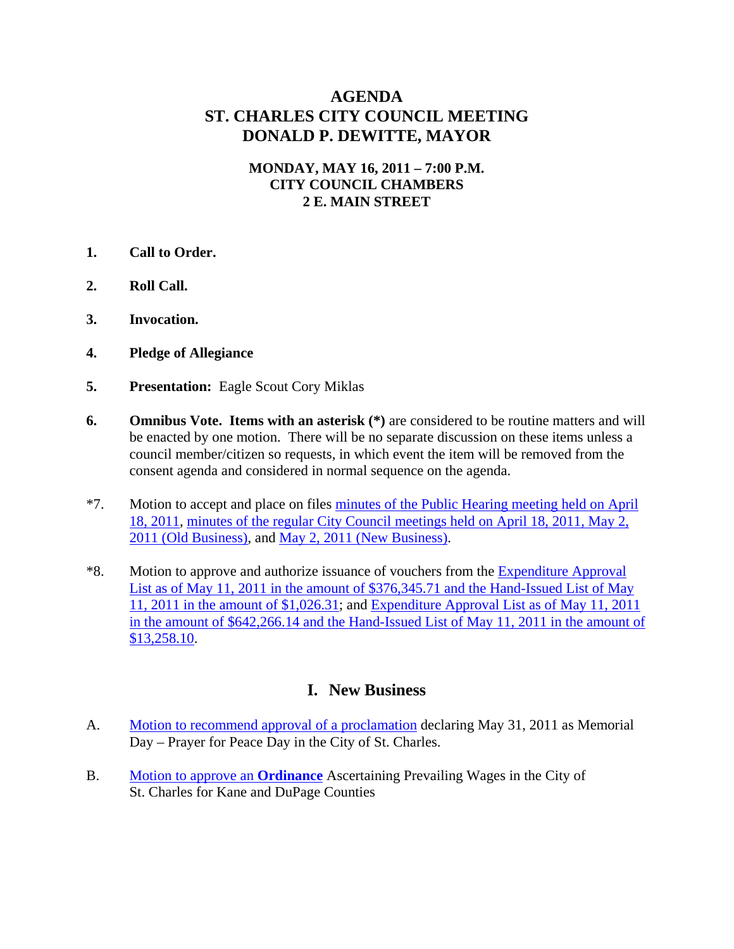# **AGENDA ST. CHARLES CITY COUNCIL MEETING DONALD P. DEWITTE, MAYOR**

#### **MONDAY, MAY 16, 2011 – 7:00 P.M. CITY COUNCIL CHAMBERS 2 E. MAIN STREET**

- **1. Call to Order.**
- **2. Roll Call.**
- **3. Invocation.**
- **4. Pledge of Allegiance**
- **5. Presentation:** Eagle Scout Cory Miklas
- **6.** Omnibus Vote. Items with an asterisk  $(*)$  are considered to be routine matters and will be enacted by one motion. There will be no separate discussion on these items unless a council member/citizen so requests, in which event the item will be removed from the consent agenda and considered in normal sequence on the agenda.
- \*7. Motion to accept and place on files [minutes of the Public Hearing meeting held on April](http://stcharlesil.gov/meetings/2011/attachments/a05-16-11-cc-m041811-cc.pdf)  [18, 2011](http://stcharlesil.gov/meetings/2011/attachments/a05-16-11-cc-m041811-cc.pdf), [minutes of the regular City Council meetings held on April 18, 2011, May 2,](http://stcharlesil.gov/meetings/2011/attachments/a05-16-11-cc-m050211-cc-old.pdf)  [2011 \(Old Business\),](http://stcharlesil.gov/meetings/2011/attachments/a05-16-11-cc-m050211-cc-old.pdf) and [May 2, 2011 \(New Business\)](http://stcharlesil.gov/meetings/2011/attachments/a05-16-11-cc-m050211-cc-new.pdf).
- \*8. Motion to approve and authorize issuance of vouchers from the [Expenditure Approval](http://stcharlesil.gov/meetings/2011/attachments/a05-16-11-cc-EXPEND1.PDF)  [List as of May 11, 2011 in the amount of \\$376,345.71 and the Hand-Issued List of May](http://stcharlesil.gov/meetings/2011/attachments/a05-16-11-cc-EXPEND1.PDF)  [11, 2011 in the amount of \\$1,026.31;](http://stcharlesil.gov/meetings/2011/attachments/a05-16-11-cc-EXPEND1.PDF) and [Expenditure Approval List as of May 11, 2011](http://stcharlesil.gov/meetings/2011/attachments/a05-16-11-cc-EXPEND2.PDF)  [in the amount of \\$642,266.14 and the Hand-Issued List of May 11, 2011 in the amount of](http://stcharlesil.gov/meetings/2011/attachments/a05-16-11-cc-EXPEND2.PDF)  [\\$13,258.10](http://stcharlesil.gov/meetings/2011/attachments/a05-16-11-cc-EXPEND2.PDF).

## **I. New Business**

- A. [Motion to recommend approval of a proclamation](http://stcharlesil.gov/meetings/2011/attachments/a05-16-11-cc-IA.pdf) declaring May 31, 2011 as Memorial Day – Prayer for Peace Day in the City of St. Charles.
- B. [Motion to approve an](http://stcharlesil.gov/meetings/2011/attachments/a05-16-11-cc-IB.pdf) **Ordinance** Ascertaining Prevailing Wages in the City of St. Charles for Kane and DuPage Counties